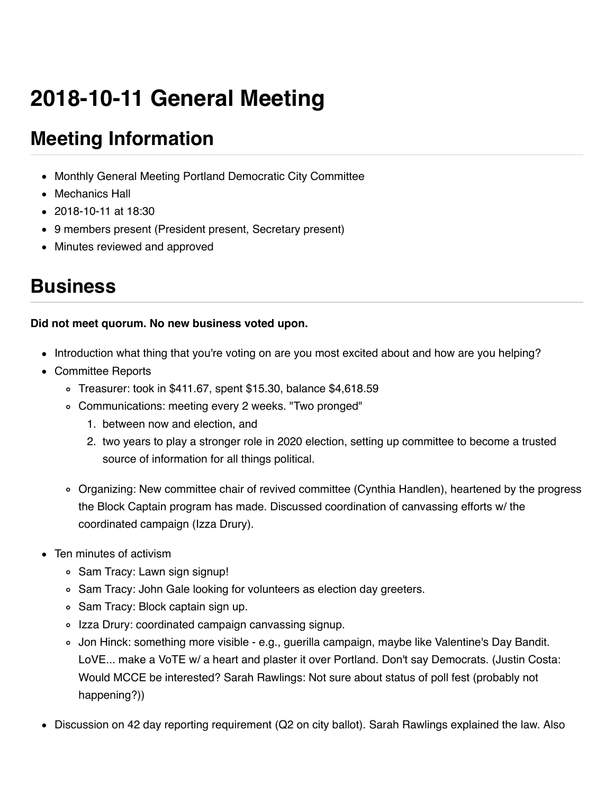# **2018-10-11 General Meeting**

# **Meeting Information**

- Monthly General Meeting Portland Democratic City Committee
- Mechanics Hall
- 2018-10-11 at 18:30
- 9 members present (President present, Secretary present)
- Minutes reviewed and approved

## **Business**

#### **Did not meet quorum. No new business voted upon.**

- Introduction what thing that you're voting on are you most excited about and how are you helping?
- Committee Reports
	- Treasurer: took in \$411.67, spent \$15.30, balance \$4,618.59
	- Communications: meeting every 2 weeks. "Two pronged"
		- 1. between now and election, and
		- 2. two years to play a stronger role in 2020 election, setting up committee to become a trusted source of information for all things political.
	- Organizing: New committee chair of revived committee (Cynthia Handlen), heartened by the progress the Block Captain program has made. Discussed coordination of canvassing efforts w/ the coordinated campaign (Izza Drury).
- Ten minutes of activism
	- Sam Tracy: Lawn sign signup!
	- o Sam Tracy: John Gale looking for volunteers as election day greeters.
	- Sam Tracy: Block captain sign up.
	- o Izza Drury: coordinated campaign canvassing signup.
	- Jon Hinck: something more visible e.g., guerilla campaign, maybe like Valentine's Day Bandit. LoVE... make a VoTE w/ a heart and plaster it over Portland. Don't say Democrats. (Justin Costa: Would MCCE be interested? Sarah Rawlings: Not sure about status of poll fest (probably not happening?))
- Discussion on 42 day reporting requirement (Q2 on city ballot). Sarah Rawlings explained the law. Also